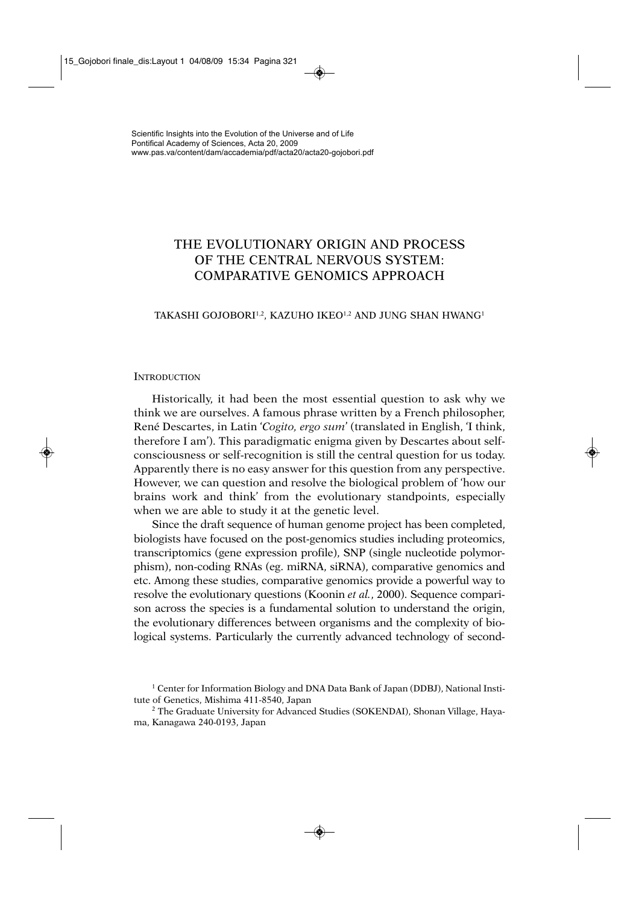# THE EVOLUTIONARY ORIGIN AND PROCESS OF THE CENTRAL NERVOUS SYSTEM: COMPARATIVE GENOMICS APPROACH

# TAKASHI GOJOBORI<sup>1,2</sup>, KAZUHO IKEO<sup>1,2</sup> AND JUNG SHAN HWANG<sup>1</sup>

## **INTRODUCTION**

Historically, it had been the most essential question to ask why we think we are ourselves. A famous phrase written by a French philosopher, René Descartes, in Latin '*Cogito, ergo sum*' (translated in English, 'I think, therefore I am'). This paradigmatic enigma given by Descartes about selfconsciousness or self-recognition is still the central question for us today. Apparently there is no easy answer for this question from any perspective. However, we can question and resolve the biological problem of 'how our brains work and think' from the evolutionary standpoints, especially when we are able to study it at the genetic level.

Since the draft sequence of human genome project has been completed, biologists have focused on the post-genomics studies including proteomics, transcriptomics (gene expression profile), SNP (single nucleotide polymorphism), non-coding RNAs (eg. miRNA, siRNA), comparative genomics and etc. Among these studies, comparative genomics provide a powerful way to resolve the evolutionary questions (Koonin *et al.*, 2000). Sequence comparison across the species is a fundamental solution to understand the origin, the evolutionary differences between organisms and the complexity of biological systems. Particularly the currently advanced technology of second-

<sup>1</sup> Center for Information Biology and DNA Data Bank of Japan (DDBJ), National Institute of Genetics, Mishima 411-8540, Japan

<sup>2</sup> The Graduate University for Advanced Studies (SOKENDAI), Shonan Village, Hayama, Kanagawa 240-0193, Japan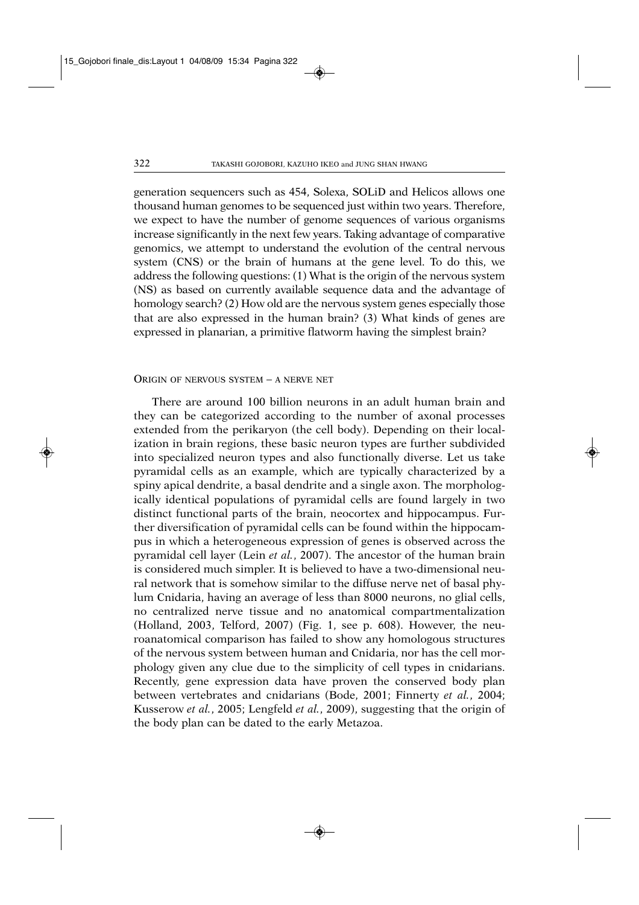generation sequencers such as 454, Solexa, SOLiD and Helicos allows one thousand human genomes to be sequenced just within two years. Therefore, we expect to have the number of genome sequences of various organisms increase significantly in the next few years. Taking advantage of comparative genomics, we attempt to understand the evolution of the central nervous system (CNS) or the brain of humans at the gene level. To do this, we address the following questions: (1) What is the origin of the nervous system (NS) as based on currently available sequence data and the advantage of homology search? (2) How old are the nervous system genes especially those that are also expressed in the human brain? (3) What kinds of genes are expressed in planarian, a primitive flatworm having the simplest brain?

#### ORIGIN OF NERVOUS SYSTEM – A NERVE NET

There are around 100 billion neurons in an adult human brain and they can be categorized according to the number of axonal processes extended from the perikaryon (the cell body). Depending on their localization in brain regions, these basic neuron types are further subdivided into specialized neuron types and also functionally diverse. Let us take pyramidal cells as an example, which are typically characterized by a spiny apical dendrite, a basal dendrite and a single axon. The morphologically identical populations of pyramidal cells are found largely in two distinct functional parts of the brain, neocortex and hippocampus. Further diversification of pyramidal cells can be found within the hippocampus in which a heterogeneous expression of genes is observed across the pyramidal cell layer (Lein *et al.*, 2007). The ancestor of the human brain is considered much simpler. It is believed to have a two-dimensional neural network that is somehow similar to the diffuse nerve net of basal phylum Cnidaria, having an average of less than 8000 neurons, no glial cells, no centralized nerve tissue and no anatomical compartmentalization (Holland, 2003, Telford, 2007) (Fig. 1, see p. 608). However, the neuroanatomical comparison has failed to show any homologous structures of the nervous system between human and Cnidaria, nor has the cell morphology given any clue due to the simplicity of cell types in cnidarians. Recently, gene expression data have proven the conserved body plan between vertebrates and cnidarians (Bode, 2001; Finnerty *et al.*, 2004; Kusserow *et al.*, 2005; Lengfeld *et al.*, 2009), suggesting that the origin of the body plan can be dated to the early Metazoa.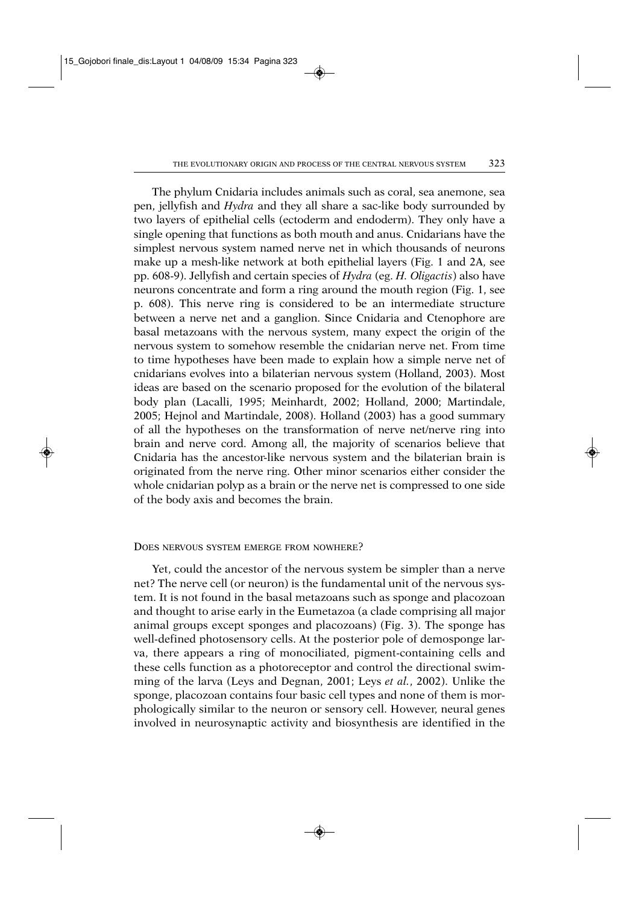The phylum Cnidaria includes animals such as coral, sea anemone, sea pen, jellyfish and *Hydra* and they all share a sac-like body surrounded by two layers of epithelial cells (ectoderm and endoderm). They only have a single opening that functions as both mouth and anus. Cnidarians have the simplest nervous system named nerve net in which thousands of neurons make up a mesh-like network at both epithelial layers (Fig. 1 and 2A, see pp. 608-9). Jellyfish and certain species of *Hydra* (eg. *H. Oligactis*) also have neurons concentrate and form a ring around the mouth region (Fig. 1, see p. 608). This nerve ring is considered to be an intermediate structure between a nerve net and a ganglion. Since Cnidaria and Ctenophore are basal metazoans with the nervous system, many expect the origin of the nervous system to somehow resemble the cnidarian nerve net. From time to time hypotheses have been made to explain how a simple nerve net of cnidarians evolves into a bilaterian nervous system (Holland, 2003). Most ideas are based on the scenario proposed for the evolution of the bilateral body plan (Lacalli, 1995; Meinhardt, 2002; Holland, 2000; Martindale, 2005; Hejnol and Martindale, 2008). Holland (2003) has a good summary of all the hypotheses on the transformation of nerve net/nerve ring into brain and nerve cord. Among all, the majority of scenarios believe that Cnidaria has the ancestor-like nervous system and the bilaterian brain is originated from the nerve ring. Other minor scenarios either consider the whole cnidarian polyp as a brain or the nerve net is compressed to one side of the body axis and becomes the brain.

#### DOES NERVOUS SYSTEM EMERGE FROM NOWHERE?

Yet, could the ancestor of the nervous system be simpler than a nerve net? The nerve cell (or neuron) is the fundamental unit of the nervous system. It is not found in the basal metazoans such as sponge and placozoan and thought to arise early in the Eumetazoa (a clade comprising all major animal groups except sponges and placozoans) (Fig. 3). The sponge has well-defined photosensory cells. At the posterior pole of demosponge larva, there appears a ring of monociliated, pigment-containing cells and these cells function as a photoreceptor and control the directional swimming of the larva (Leys and Degnan, 2001; Leys *et al.*, 2002). Unlike the sponge, placozoan contains four basic cell types and none of them is morphologically similar to the neuron or sensory cell. However, neural genes involved in neurosynaptic activity and biosynthesis are identified in the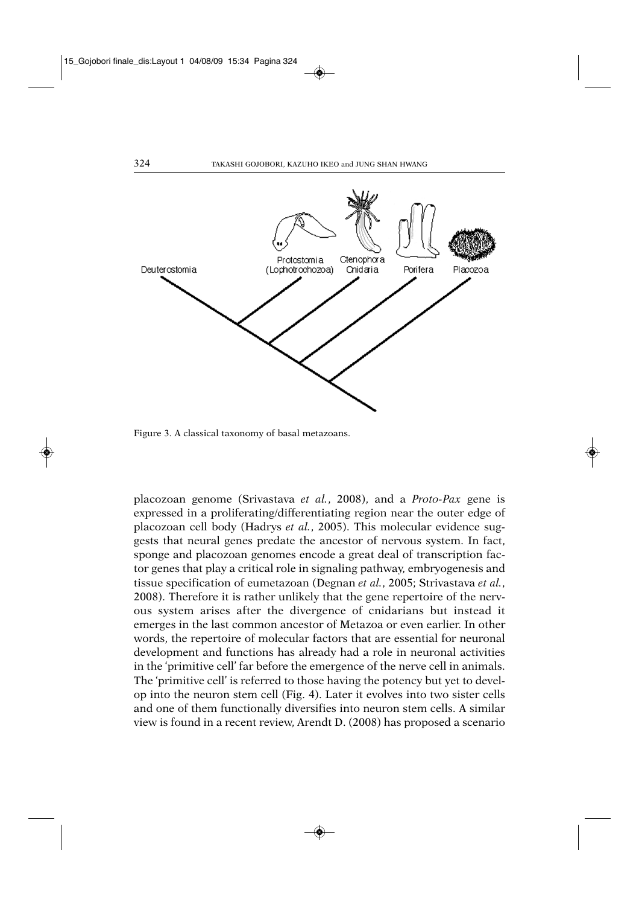

Figure 3. A classical taxonomy of basal metazoans.

placozoan genome (Srivastava *et al.*, 2008), and a *Proto-Pax* gene is expressed in a proliferating/differentiating region near the outer edge of placozoan cell body (Hadrys *et al.*, 2005). This molecular evidence suggests that neural genes predate the ancestor of nervous system. In fact, sponge and placozoan genomes encode a great deal of transcription factor genes that play a critical role in signaling pathway, embryogenesis and tissue specification of eumetazoan (Degnan *et al.*, 2005; Strivastava *et al.*, 2008). Therefore it is rather unlikely that the gene repertoire of the nervous system arises after the divergence of cnidarians but instead it emerges in the last common ancestor of Metazoa or even earlier. In other words, the repertoire of molecular factors that are essential for neuronal development and functions has already had a role in neuronal activities in the 'primitive cell' far before the emergence of the nerve cell in animals. The 'primitive cell' is referred to those having the potency but yet to develop into the neuron stem cell (Fig. 4). Later it evolves into two sister cells and one of them functionally diversifies into neuron stem cells. A similar view is found in a recent review, Arendt D. (2008) has proposed a scenario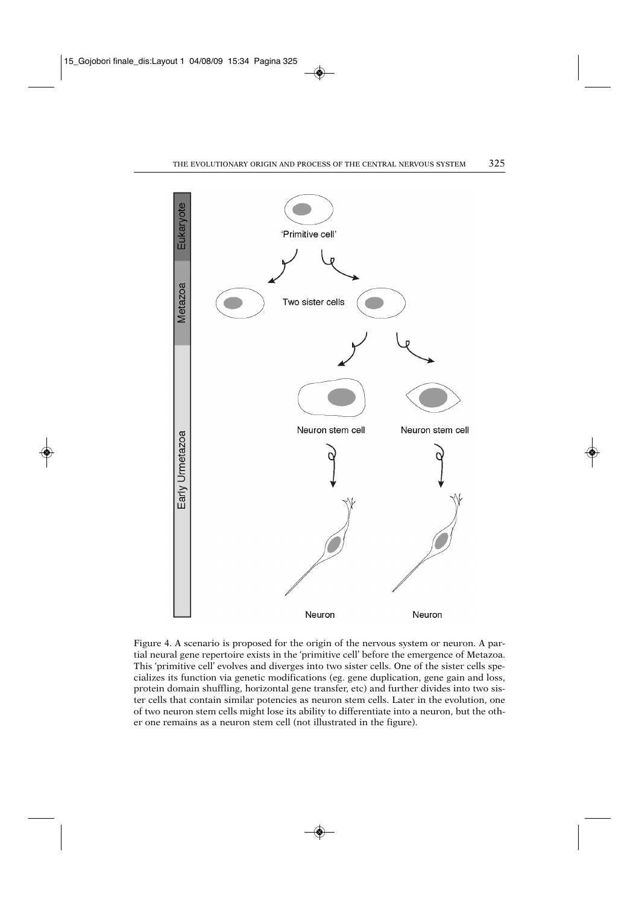

Figure 4. A scenario is proposed for the origin of the nervous system or neuron. A partial neural gene repertoire exists in the 'primitive cell' before the emergence of Metazoa. This 'primitive cell' evolves and diverges into two sister cells. One of the sister cells specializes its function via genetic modifications (eg. gene duplication, gene gain and loss, protein domain shuffling, horizontal gene transfer, etc) and further divides into two sister cells that contain similar potencies as neuron stem cells. Later in the evolution, one of two neuron stem cells might lose its ability to differentiate into a neuron, but the other one remains as a neuron stem cell (not illustrated in the figure).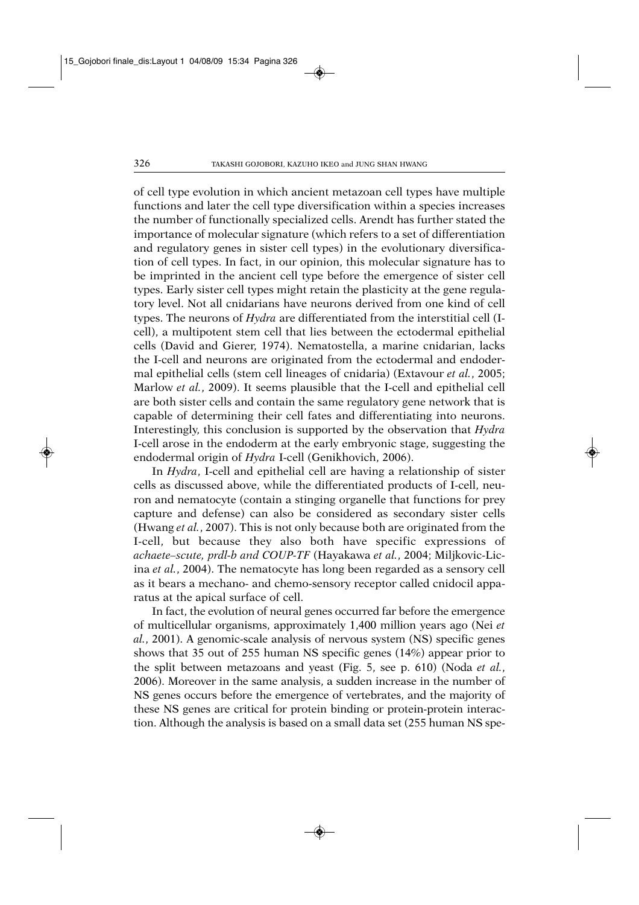of cell type evolution in which ancient metazoan cell types have multiple functions and later the cell type diversification within a species increases the number of functionally specialized cells. Arendt has further stated the importance of molecular signature (which refers to a set of differentiation and regulatory genes in sister cell types) in the evolutionary diversification of cell types. In fact, in our opinion, this molecular signature has to be imprinted in the ancient cell type before the emergence of sister cell types. Early sister cell types might retain the plasticity at the gene regulatory level. Not all cnidarians have neurons derived from one kind of cell types. The neurons of *Hydra* are differentiated from the interstitial cell (Icell), a multipotent stem cell that lies between the ectodermal epithelial cells (David and Gierer, 1974). Nematostella, a marine cnidarian, lacks the I-cell and neurons are originated from the ectodermal and endodermal epithelial cells (stem cell lineages of cnidaria) (Extavour *et al.*, 2005; Marlow *et al.*, 2009). It seems plausible that the I-cell and epithelial cell are both sister cells and contain the same regulatory gene network that is capable of determining their cell fates and differentiating into neurons. Interestingly, this conclusion is supported by the observation that *Hydra* I-cell arose in the endoderm at the early embryonic stage, suggesting the endodermal origin of *Hydra* I-cell (Genikhovich, 2006).

In *Hydra*, I-cell and epithelial cell are having a relationship of sister cells as discussed above, while the differentiated products of I-cell, neuron and nematocyte (contain a stinging organelle that functions for prey capture and defense) can also be considered as secondary sister cells (Hwang *et al.*, 2007). This is not only because both are originated from the I-cell, but because they also both have specific expressions of *achaete–scute, prdl-b and COUP-TF* (Hayakawa *et al.*, 2004; Miljkovic-Licina *et al.*, 2004). The nematocyte has long been regarded as a sensory cell as it bears a mechano- and chemo-sensory receptor called cnidocil apparatus at the apical surface of cell.

In fact, the evolution of neural genes occurred far before the emergence of multicellular organisms, approximately 1,400 million years ago (Nei *et al.*, 2001). A genomic-scale analysis of nervous system (NS) specific genes shows that 35 out of 255 human NS specific genes (14%) appear prior to the split between metazoans and yeast (Fig. 5, see p. 610) (Noda *et al.*, 2006). Moreover in the same analysis, a sudden increase in the number of NS genes occurs before the emergence of vertebrates, and the majority of these NS genes are critical for protein binding or protein-protein interaction. Although the analysis is based on a small data set (255 human NS spe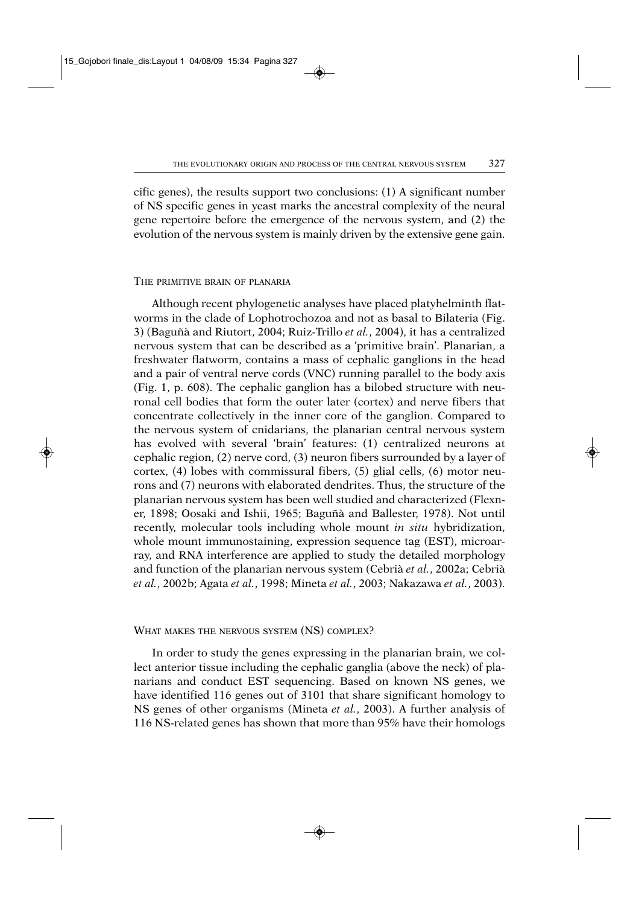cific genes), the results support two conclusions: (1) A significant number of NS specific genes in yeast marks the ancestral complexity of the neural gene repertoire before the emergence of the nervous system, and (2) the evolution of the nervous system is mainly driven by the extensive gene gain.

#### THE PRIMITIVE BRAIN OF PLANARIA

Although recent phylogenetic analyses have placed platyhelminth flatworms in the clade of Lophotrochozoa and not as basal to Bilateria (Fig. 3) (Baguñà and Riutort, 2004; Ruiz-Trillo *et al.*, 2004), it has a centralized nervous system that can be described as a 'primitive brain'. Planarian, a freshwater flatworm, contains a mass of cephalic ganglions in the head and a pair of ventral nerve cords (VNC) running parallel to the body axis (Fig. 1, p. 608). The cephalic ganglion has a bilobed structure with neuronal cell bodies that form the outer later (cortex) and nerve fibers that concentrate collectively in the inner core of the ganglion. Compared to the nervous system of cnidarians, the planarian central nervous system has evolved with several 'brain' features: (1) centralized neurons at cephalic region, (2) nerve cord, (3) neuron fibers surrounded by a layer of cortex, (4) lobes with commissural fibers, (5) glial cells, (6) motor neurons and (7) neurons with elaborated dendrites. Thus, the structure of the planarian nervous system has been well studied and characterized (Flexner, 1898; Oosaki and Ishii, 1965; Baguñà and Ballester, 1978). Not until recently, molecular tools including whole mount *in situ* hybridization, whole mount immunostaining, expression sequence tag (EST), microarray, and RNA interference are applied to study the detailed morphology and function of the planarian nervous system (Cebrià *et al.*, 2002a; Cebrià *et al.*, 2002b; Agata *et al.*, 1998; Mineta *et al.*, 2003; Nakazawa *et al.*, 2003).

# WHAT MAKES THE NERVOUS SYSTEM (NS) COMPLEX?

In order to study the genes expressing in the planarian brain, we collect anterior tissue including the cephalic ganglia (above the neck) of planarians and conduct EST sequencing. Based on known NS genes, we have identified 116 genes out of 3101 that share significant homology to NS genes of other organisms (Mineta *et al.*, 2003). A further analysis of 116 NS-related genes has shown that more than 95% have their homologs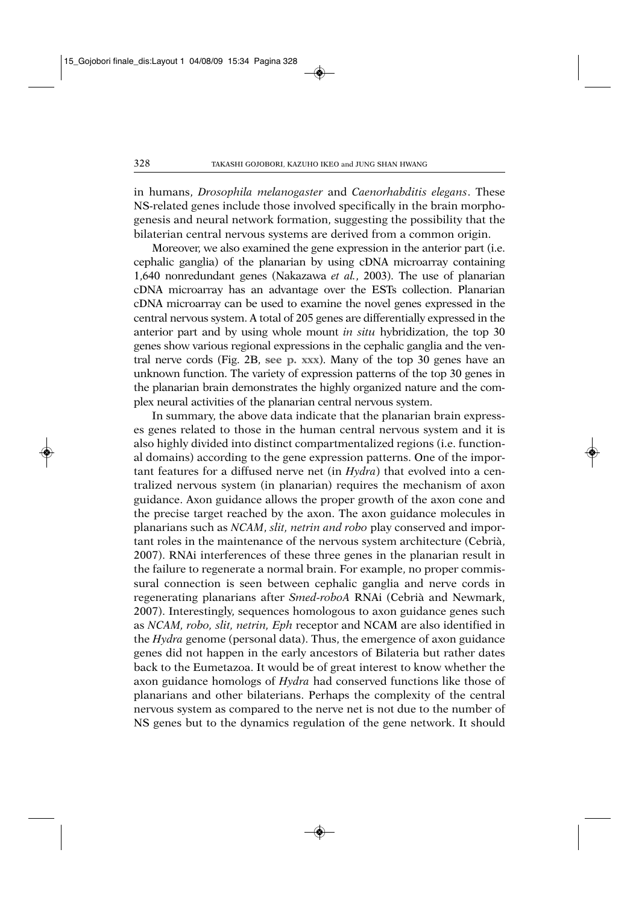in humans, *Drosophila melanogaster* and *Caenorhabditis elegans*. These NS-related genes include those involved specifically in the brain morphogenesis and neural network formation, suggesting the possibility that the bilaterian central nervous systems are derived from a common origin.

Moreover, we also examined the gene expression in the anterior part (i.e. cephalic ganglia) of the planarian by using cDNA microarray containing 1,640 nonredundant genes (Nakazawa *et al.*, 2003). The use of planarian cDNA microarray has an advantage over the ESTs collection. Planarian cDNA microarray can be used to examine the novel genes expressed in the central nervous system. A total of 205 genes are differentially expressed in the anterior part and by using whole mount *in situ* hybridization, the top 30 genes show various regional expressions in the cephalic ganglia and the ventral nerve cords (Fig. 2B, **see p. xxx**). Many of the top 30 genes have an unknown function. The variety of expression patterns of the top 30 genes in the planarian brain demonstrates the highly organized nature and the complex neural activities of the planarian central nervous system.

In summary, the above data indicate that the planarian brain expresses genes related to those in the human central nervous system and it is also highly divided into distinct compartmentalized regions (i.e. functional domains) according to the gene expression patterns. One of the important features for a diffused nerve net (in *Hydra*) that evolved into a centralized nervous system (in planarian) requires the mechanism of axon guidance. Axon guidance allows the proper growth of the axon cone and the precise target reached by the axon. The axon guidance molecules in planarians such as *NCAM*, *slit, netrin and robo* play conserved and important roles in the maintenance of the nervous system architecture (Cebrià, 2007). RNAi interferences of these three genes in the planarian result in the failure to regenerate a normal brain. For example, no proper commissural connection is seen between cephalic ganglia and nerve cords in regenerating planarians after *Smed-roboA* RNAi (Cebrià and Newmark, 2007). Interestingly, sequences homologous to axon guidance genes such as *NCAM, robo, slit, netrin, Eph* receptor and NCAM are also identified in the *Hydra* genome (personal data). Thus, the emergence of axon guidance genes did not happen in the early ancestors of Bilateria but rather dates back to the Eumetazoa. It would be of great interest to know whether the axon guidance homologs of *Hydra* had conserved functions like those of planarians and other bilaterians. Perhaps the complexity of the central nervous system as compared to the nerve net is not due to the number of NS genes but to the dynamics regulation of the gene network. It should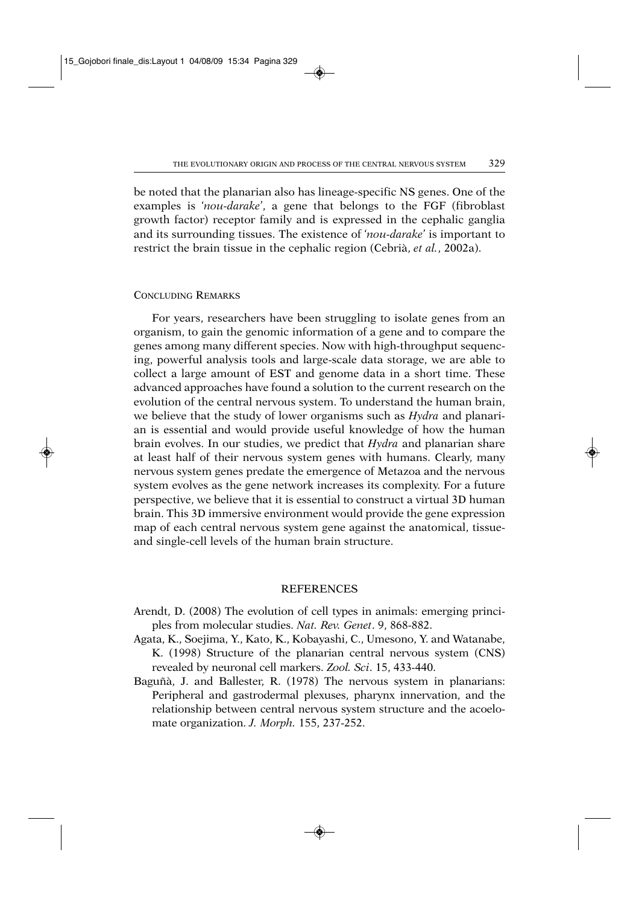be noted that the planarian also has lineage-specific NS genes. One of the examples is '*nou-darake*', a gene that belongs to the FGF (fibroblast growth factor) receptor family and is expressed in the cephalic ganglia and its surrounding tissues. The existence of '*nou-darake*' is important to restrict the brain tissue in the cephalic region (Cebrià, *et al.*, 2002a).

## CONCLUDING REMARKS

For years, researchers have been struggling to isolate genes from an organism, to gain the genomic information of a gene and to compare the genes among many different species. Now with high-throughput sequencing, powerful analysis tools and large-scale data storage, we are able to collect a large amount of EST and genome data in a short time. These advanced approaches have found a solution to the current research on the evolution of the central nervous system. To understand the human brain, we believe that the study of lower organisms such as *Hydra* and planarian is essential and would provide useful knowledge of how the human brain evolves. In our studies, we predict that *Hydra* and planarian share at least half of their nervous system genes with humans. Clearly, many nervous system genes predate the emergence of Metazoa and the nervous system evolves as the gene network increases its complexity. For a future perspective, we believe that it is essential to construct a virtual 3D human brain. This 3D immersive environment would provide the gene expression map of each central nervous system gene against the anatomical, tissueand single-cell levels of the human brain structure.

## **REFERENCES**

- Arendt, D. (2008) The evolution of cell types in animals: emerging principles from molecular studies. *Nat. Rev. Genet*. 9, 868-882.
- Agata, K., Soejima, Y., Kato, K., Kobayashi, C., Umesono, Y. and Watanabe, K. (1998) Structure of the planarian central nervous system (CNS) revealed by neuronal cell markers. *Zool. Sci*. 15, 433-440.
- Baguñà, J. and Ballester, R. (1978) The nervous system in planarians: Peripheral and gastrodermal plexuses, pharynx innervation, and the relationship between central nervous system structure and the acoelomate organization. *J. Morph.* 155, 237-252.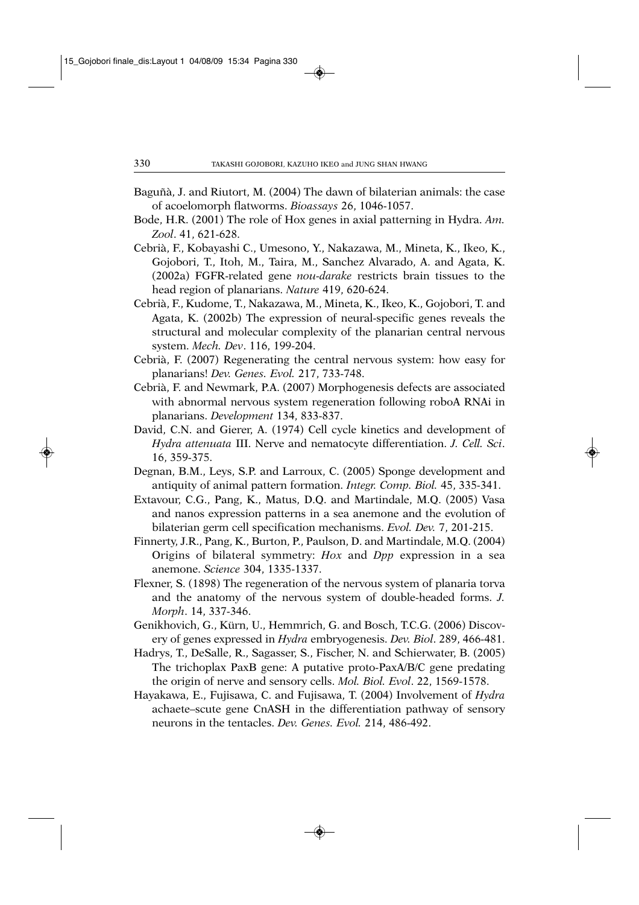- Baguñà, J. and Riutort, M. (2004) The dawn of bilaterian animals: the case of acoelomorph flatworms. *Bioassays* 26, 1046-1057.
- Bode, H.R. (2001) The role of Hox genes in axial patterning in Hydra. *Am. Zool*. 41, 621-628.
- Cebrià, F., Kobayashi C., Umesono, Y., Nakazawa, M., Mineta, K., Ikeo, K., Gojobori, T., Itoh, M., Taira, M., Sanchez Alvarado, A. and Agata, K. (2002a) FGFR-related gene *nou-darake* restricts brain tissues to the head region of planarians. *Nature* 419, 620-624.
- Cebrià, F., Kudome, T., Nakazawa, M., Mineta, K., Ikeo, K., Gojobori, T. and Agata, K. (2002b) The expression of neural-specific genes reveals the structural and molecular complexity of the planarian central nervous system. *Mech. Dev*. 116, 199-204.
- Cebrià, F. (2007) Regenerating the central nervous system: how easy for planarians! *Dev. Genes. Evol.* 217, 733-748.
- Cebrià, F. and Newmark, P.A. (2007) Morphogenesis defects are associated with abnormal nervous system regeneration following roboA RNAi in planarians. *Development* 134, 833-837.
- David, C.N. and Gierer, A. (1974) Cell cycle kinetics and development of *Hydra attenuata* III. Nerve and nematocyte differentiation. *J. Cell. Sci*. 16, 359-375.
- Degnan, B.M., Leys, S.P. and Larroux, C. (2005) Sponge development and antiquity of animal pattern formation. *Integr. Comp. Biol.* 45, 335-341.
- Extavour, C.G., Pang, K., Matus, D.Q. and Martindale, M.Q. (2005) Vasa and nanos expression patterns in a sea anemone and the evolution of bilaterian germ cell specification mechanisms. *Evol. Dev.* 7, 201-215.
- Finnerty, J.R., Pang, K., Burton, P., Paulson, D. and Martindale, M.Q. (2004) Origins of bilateral symmetry: *Hox* and *Dpp* expression in a sea anemone. *Science* 304, 1335-1337.
- Flexner, S. (1898) The regeneration of the nervous system of planaria torva and the anatomy of the nervous system of double-headed forms. *J. Morph*. 14, 337-346.
- Genikhovich, G., Kürn, U., Hemmrich, G. and Bosch, T.C.G. (2006) Discovery of genes expressed in *Hydra* embryogenesis. *Dev. Biol*. 289, 466-481.
- Hadrys, T., DeSalle, R., Sagasser, S., Fischer, N. and Schierwater, B. (2005) The trichoplax PaxB gene: A putative proto-PaxA/B/C gene predating the origin of nerve and sensory cells. *Mol. Biol. Evol*. 22, 1569-1578.
- Hayakawa, E., Fujisawa, C. and Fujisawa, T. (2004) Involvement of *Hydra* achaete–scute gene CnASH in the differentiation pathway of sensory neurons in the tentacles. *Dev. Genes. Evol.* 214, 486-492.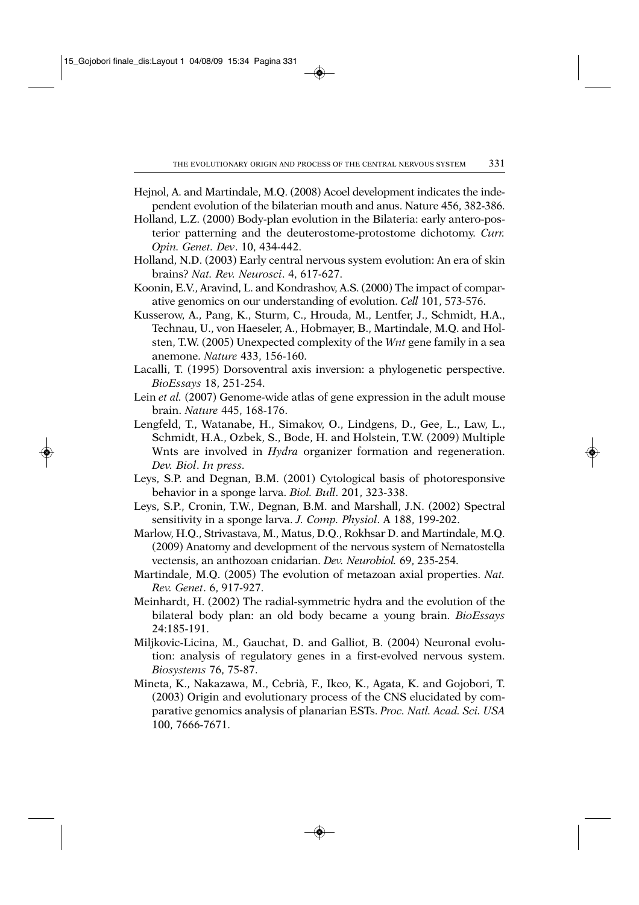- Hejnol, A. and Martindale, M.Q. (2008) Acoel development indicates the independent evolution of the bilaterian mouth and anus. Nature 456, 382-386.
- Holland, L.Z. (2000) Body-plan evolution in the Bilateria: early antero-posterior patterning and the deuterostome-protostome dichotomy. *Curr. Opin. Genet. Dev*. 10, 434-442.
- Holland, N.D. (2003) Early central nervous system evolution: An era of skin brains? *Nat. Rev. Neurosci*. 4, 617-627.
- Koonin, E.V., Aravind, L. and Kondrashov, A.S. (2000) The impact of comparative genomics on our understanding of evolution. *Cell* 101, 573-576.
- Kusserow, A., Pang, K., Sturm, C., Hrouda, M., Lentfer, J., Schmidt, H.A., Technau, U., von Haeseler, A., Hobmayer, B., Martindale, M.Q. and Holsten, T.W. (2005) Unexpected complexity of the *Wnt* gene family in a sea anemone. *Nature* 433, 156-160.
- Lacalli, T. (1995) Dorsoventral axis inversion: a phylogenetic perspective. *BioEssays* 18, 251-254.
- Lein *et al.* (2007) Genome-wide atlas of gene expression in the adult mouse brain. *Nature* 445, 168-176.
- Lengfeld, T., Watanabe, H., Simakov, O., Lindgens, D., Gee, L., Law, L., Schmidt, H.A., Ozbek, S., Bode, H. and Holstein, T.W. (2009) Multiple Wnts are involved in *Hydra* organizer formation and regeneration. *Dev. Biol*. *In press.*
- Leys, S.P. and Degnan, B.M. (2001) Cytological basis of photoresponsive behavior in a sponge larva. *Biol. Bull*. 201, 323-338.
- Leys, S.P., Cronin, T.W., Degnan, B.M. and Marshall, J.N. (2002) Spectral sensitivity in a sponge larva. *J. Comp. Physiol*. A 188, 199-202.
- Marlow, H.Q., Strivastava, M., Matus, D.Q., Rokhsar D. and Martindale, M.Q. (2009) Anatomy and development of the nervous system of Nematostella vectensis, an anthozoan cnidarian. *Dev. Neurobiol.* 69, 235-254.
- Martindale, M.Q. (2005) The evolution of metazoan axial properties. *Nat. Rev. Genet*. 6, 917-927.
- Meinhardt, H. (2002) The radial-symmetric hydra and the evolution of the bilateral body plan: an old body became a young brain. *BioEssays* 24:185-191.
- Miljkovic-Licina, M., Gauchat, D. and Galliot, B. (2004) Neuronal evolution: analysis of regulatory genes in a first-evolved nervous system. *Biosystems* 76, 75-87.
- Mineta, K., Nakazawa, M., Cebrià, F., Ikeo, K., Agata, K. and Gojobori, T. (2003) Origin and evolutionary process of the CNS elucidated by comparative genomics analysis of planarian ESTs. *Proc. Natl. Acad. Sci. USA* 100, 7666-7671.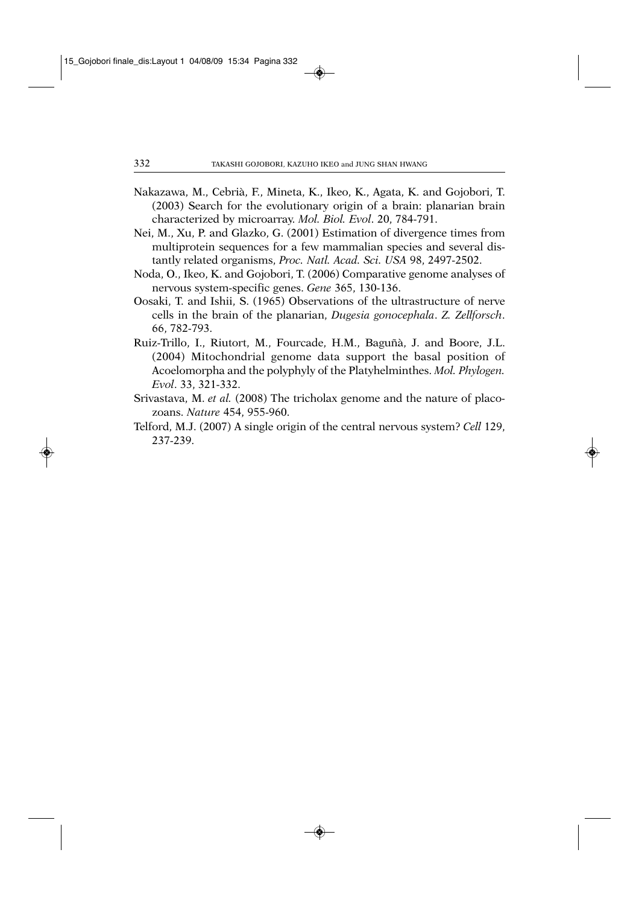- Nakazawa, M., Cebrià, F., Mineta, K., Ikeo, K., Agata, K. and Gojobori, T. (2003) Search for the evolutionary origin of a brain: planarian brain characterized by microarray. *Mol. Biol. Evol*. 20, 784-791.
- Nei, M., Xu, P. and Glazko, G. (2001) Estimation of divergence times from multiprotein sequences for a few mammalian species and several distantly related organisms, *Proc. Natl. Acad. Sci. USA* 98, 2497-2502.
- Noda, O., Ikeo, K. and Gojobori, T. (2006) Comparative genome analyses of nervous system-specific genes. *Gene* 365, 130-136.
- Oosaki, T. and Ishii, S. (1965) Observations of the ultrastructure of nerve cells in the brain of the planarian, *Dugesia gonocephala*. *Z. Zellforsch*. 66, 782-793.
- Ruiz-Trillo, I., Riutort, M., Fourcade, H.M., Baguñà, J. and Boore, J.L. (2004) Mitochondrial genome data support the basal position of Acoelomorpha and the polyphyly of the Platyhelminthes. *Mol. Phylogen. Evol*. 33, 321-332.
- Srivastava, M. *et al.* (2008) The tricholax genome and the nature of placozoans. *Nature* 454, 955-960.
- Telford, M.J. (2007) A single origin of the central nervous system? *Cell* 129, 237-239.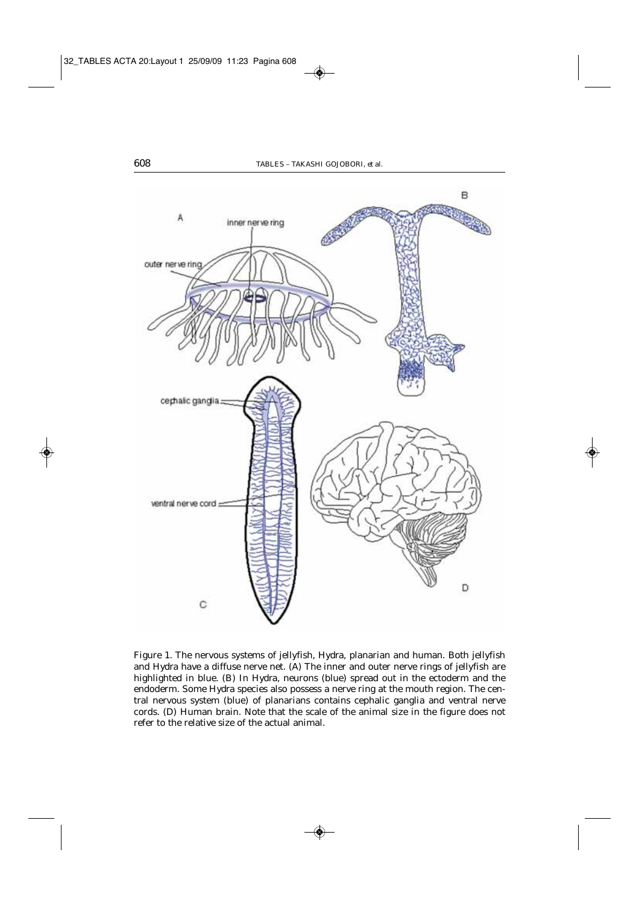

Figure 1. The nervous systems of jellyfish, *Hydra*, planarian and human. Both jellyfish and *Hydra* have a diffuse nerve net. (A) The inner and outer nerve rings of jellyfish are highlighted in blue. (B) In *Hydra*, neurons (blue) spread out in the ectoderm and the endoderm. Some *Hydra* species also possess a nerve ring at the mouth region. The central nervous system (blue) of planarians contains cephalic ganglia and ventral nerve cords. (D) Human brain. Note that the scale of the animal size in the figure does not refer to the relative size of the actual animal.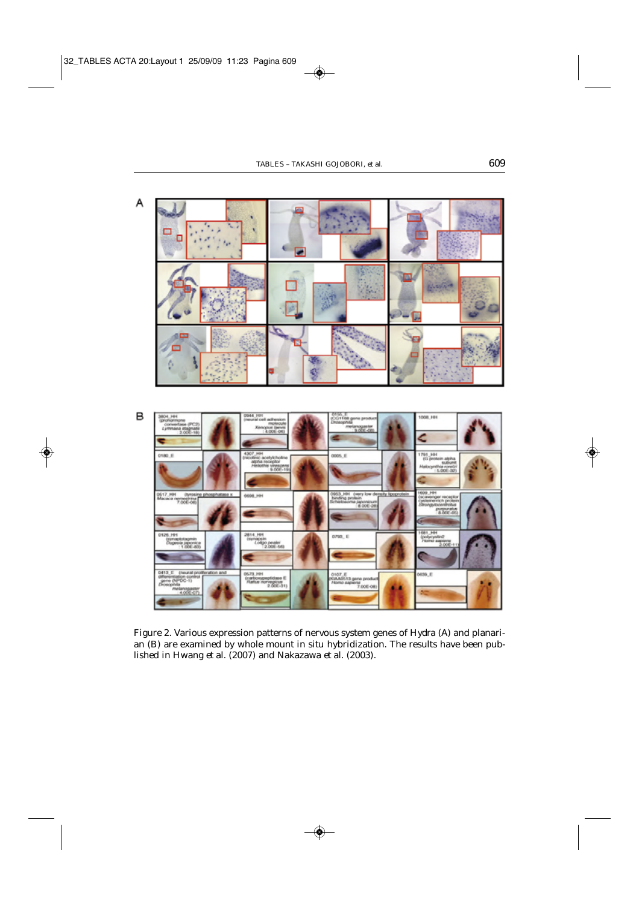



Figure 2. Various expression patterns of nervous system genes of *Hydra* (A) and planarian (B) are examined by whole mount *in situ* hybridization. The results have been published in Hwang *et al.* (2007) and Nakazawa *et al.* (2003).